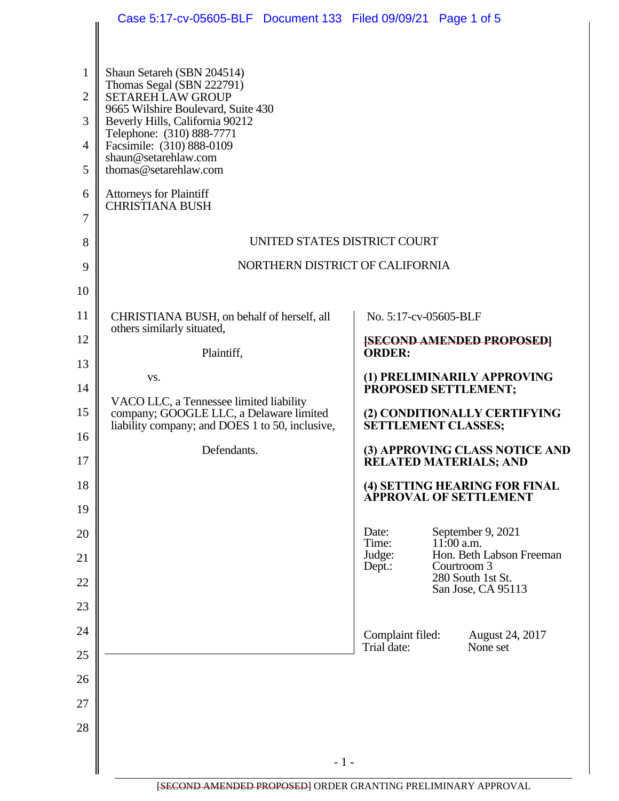|                | Case 5:17-cv-05605-BLF  Document 133  Filed 09/09/21  Page 1 of 5                          |                                                                |
|----------------|--------------------------------------------------------------------------------------------|----------------------------------------------------------------|
|                |                                                                                            |                                                                |
| $\mathbf{1}$   | Shaun Setareh (SBN 204514)                                                                 |                                                                |
| $\overline{2}$ | Thomas Segal (SBN 222791)<br><b>SETAREH LAW GROUP</b>                                      |                                                                |
| 3              | 9665 Wilshire Boulevard, Suite 430<br>Beverly Hills, California 90212                      |                                                                |
| $\overline{4}$ | Telephone: (310) 888-7771<br>Facsimile: (310) 888-0109                                     |                                                                |
| 5              | shaun@setarehlaw.com<br>thomas@setarehlaw.com                                              |                                                                |
| 6              | <b>Attorneys for Plaintiff</b><br><b>CHRISTIANA BUSH</b>                                   |                                                                |
| 7              |                                                                                            |                                                                |
| 8              | UNITED STATES DISTRICT COURT                                                               |                                                                |
| 9              | NORTHERN DISTRICT OF CALIFORNIA                                                            |                                                                |
| 10             |                                                                                            |                                                                |
| 11             | CHRISTIANA BUSH, on behalf of herself, all<br>others similarly situated,                   | No. 5:17-cv-05605-BLF                                          |
| 12             | Plaintiff,                                                                                 | <b>[SECOND AMENDED PROPOSED]</b><br><b>ORDER:</b>              |
| 13             | VS.                                                                                        | (1) PRELIMINARILY APPROVING                                    |
| 14             | VACO LLC, a Tennessee limited liability                                                    | PROPOSED SETTLEMENT;                                           |
| 15             | company; GOOGLE LLC, a Delaware limited<br>liability company; and DOES 1 to 50, inclusive, | (2) CONDITIONALLY CERTIFYING<br><b>SETTLEMENT CLASSES;</b>     |
| 16<br>17       | Defendants.                                                                                | (3) APPROVING CLASS NOTICE AND<br>RELATED MATERIALS; AND       |
| 18             |                                                                                            | (4) SETTING HEARING FOR FINAL<br>APPROVAL OF SETTLEMENT        |
| 19             |                                                                                            |                                                                |
| 20             |                                                                                            | September 9, 2021<br>Date:<br>Time:<br>$11:00$ a.m.            |
| 21             |                                                                                            | Hon. Beth Labson Freeman<br>Judge:<br>Courtroom 3<br>Dept.:    |
| 22             |                                                                                            | 280 South 1st St.<br>San Jose, CA 95113                        |
| 23             |                                                                                            |                                                                |
| 24             |                                                                                            | Complaint filed:<br>August 24, 2017<br>Trial date:<br>None set |
| 25             |                                                                                            |                                                                |
| 26             |                                                                                            |                                                                |
| 27             |                                                                                            |                                                                |
| 28             |                                                                                            |                                                                |
|                | $-1-$                                                                                      |                                                                |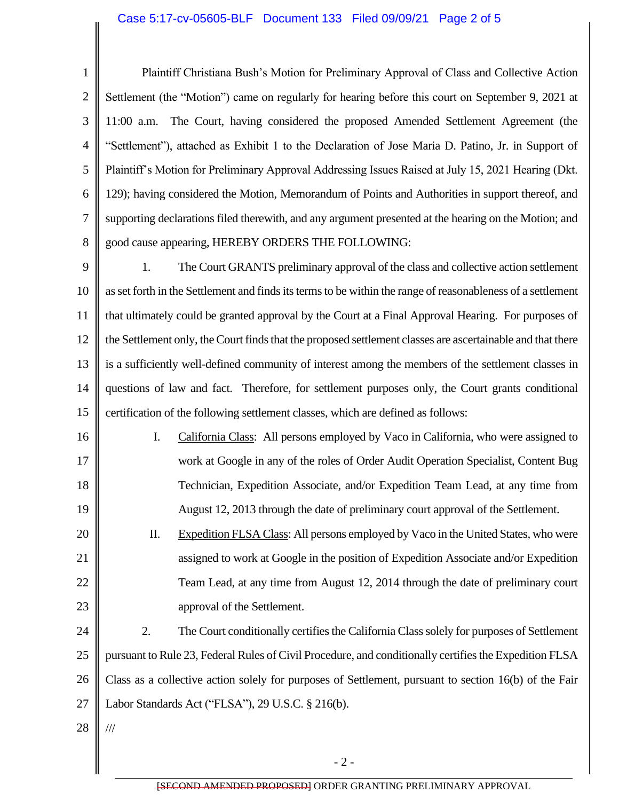## Case 5:17-cv-05605-BLF Document 133 Filed 09/09/21 Page 2 of 5

1 2 3 4 5 6 7 8 Plaintiff Christiana Bush's Motion for Preliminary Approval of Class and Collective Action Settlement (the "Motion") came on regularly for hearing before this court on September 9, 2021 at 11:00 a.m. The Court, having considered the proposed Amended Settlement Agreement (the "Settlement"), attached as Exhibit 1 to the Declaration of Jose Maria D. Patino, Jr. in Support of Plaintiff's Motion for Preliminary Approval Addressing Issues Raised at July 15, 2021 Hearing (Dkt. 129); having considered the Motion, Memorandum of Points and Authorities in support thereof, and supporting declarations filed therewith, and any argument presented at the hearing on the Motion; and good cause appearing, HEREBY ORDERS THE FOLLOWING:

9 10 11 12 13 14 15 1. The Court GRANTS preliminary approval of the class and collective action settlement as set forth in the Settlement and finds its terms to be within the range of reasonableness of a settlement that ultimately could be granted approval by the Court at a Final Approval Hearing. For purposes of the Settlement only, the Court finds that the proposed settlement classes are ascertainable and that there is a sufficiently well-defined community of interest among the members of the settlement classes in questions of law and fact. Therefore, for settlement purposes only, the Court grants conditional certification of the following settlement classes, which are defined as follows:

16 17 18 19 I. California Class: All persons employed by Vaco in California, who were assigned to work at Google in any of the roles of Order Audit Operation Specialist, Content Bug Technician, Expedition Associate, and/or Expedition Team Lead, at any time from August 12, 2013 through the date of preliminary court approval of the Settlement.

20 21 22 23 II. Expedition FLSA Class: All persons employed by Vaco in the United States, who were assigned to work at Google in the position of Expedition Associate and/or Expedition Team Lead, at any time from August 12, 2014 through the date of preliminary court approval of the Settlement.

24 25 26 27 2. The Court conditionally certifies the California Class solely for purposes of Settlement pursuant to Rule 23, Federal Rules of Civil Procedure, and conditionally certifies the Expedition FLSA Class as a collective action solely for purposes of Settlement, pursuant to section 16(b) of the Fair Labor Standards Act ("FLSA"), 29 U.S.C. § 216(b).

28

///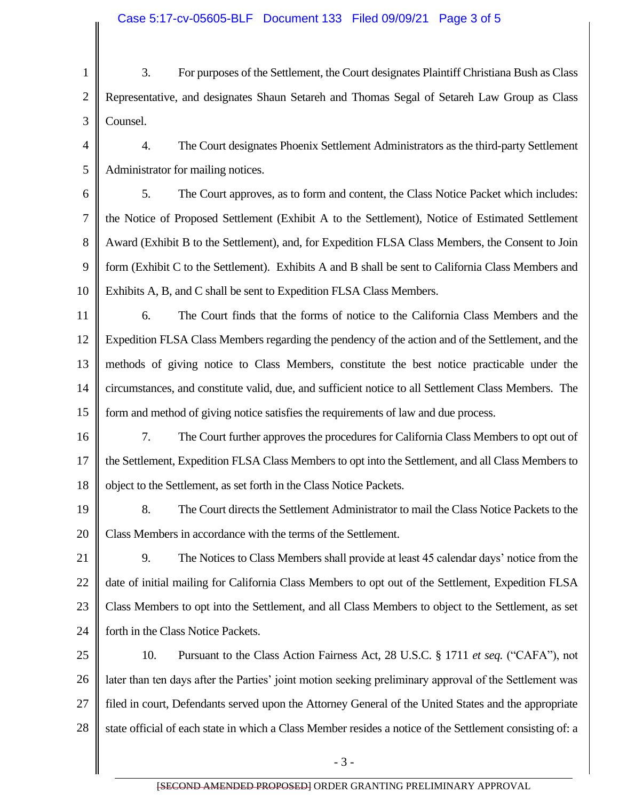1 2 3 4 5 6 7 8 9 10 11 12 13 14 15 16 17 18 19 20 21 22 23 24 25 26 27 28 3. For purposes of the Settlement, the Court designates Plaintiff Christiana Bush as Class Representative, and designates Shaun Setareh and Thomas Segal of Setareh Law Group as Class Counsel. 4. The Court designates Phoenix Settlement Administrators as the third-party Settlement Administrator for mailing notices. 5. The Court approves, as to form and content, the Class Notice Packet which includes: the Notice of Proposed Settlement (Exhibit A to the Settlement), Notice of Estimated Settlement Award (Exhibit B to the Settlement), and, for Expedition FLSA Class Members, the Consent to Join form (Exhibit C to the Settlement). Exhibits A and B shall be sent to California Class Members and Exhibits A, B, and C shall be sent to Expedition FLSA Class Members. 6. The Court finds that the forms of notice to the California Class Members and the Expedition FLSA Class Members regarding the pendency of the action and of the Settlement, and the methods of giving notice to Class Members, constitute the best notice practicable under the circumstances, and constitute valid, due, and sufficient notice to all Settlement Class Members. The form and method of giving notice satisfies the requirements of law and due process. 7. The Court further approves the procedures for California Class Members to opt out of the Settlement, Expedition FLSA Class Members to opt into the Settlement, and all Class Members to object to the Settlement, as set forth in the Class Notice Packets. 8. The Court directs the Settlement Administrator to mail the Class Notice Packets to the Class Members in accordance with the terms of the Settlement. 9. The Notices to Class Members shall provide at least 45 calendar days' notice from the date of initial mailing for California Class Members to opt out of the Settlement, Expedition FLSA Class Members to opt into the Settlement, and all Class Members to object to the Settlement, as set forth in the Class Notice Packets. 10. Pursuant to the Class Action Fairness Act, 28 U.S.C. § 1711 *et seq.* ("CAFA"), not later than ten days after the Parties' joint motion seeking preliminary approval of the Settlement was filed in court, Defendants served upon the Attorney General of the United States and the appropriate state official of each state in which a Class Member resides a notice of the Settlement consisting of: a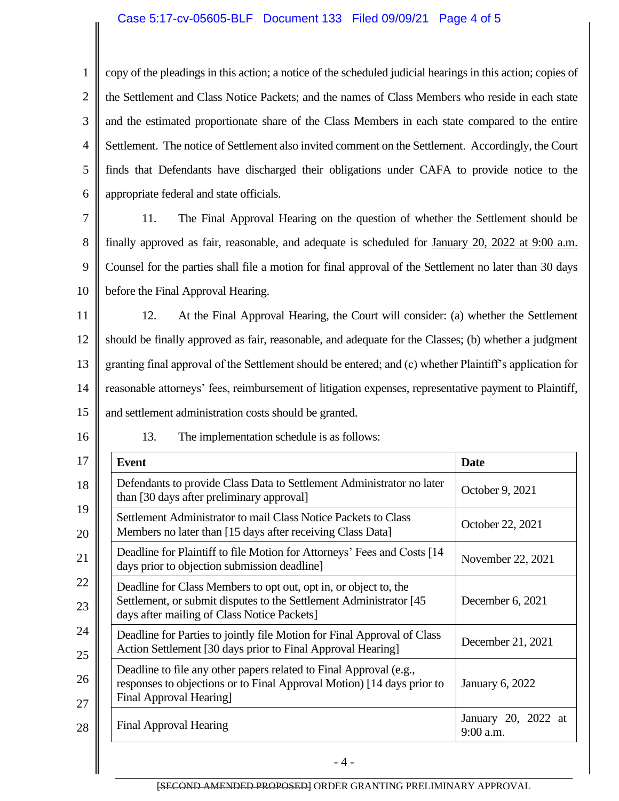## Case 5:17-cv-05605-BLF Document 133 Filed 09/09/21 Page 4 of 5

 $\parallel$ 

| $\mathbf{1}$   | copy of the pleadings in this action; a notice of the scheduled judicial hearings in this action; copies of                                                                                               |  |  |
|----------------|-----------------------------------------------------------------------------------------------------------------------------------------------------------------------------------------------------------|--|--|
| $\overline{2}$ | the Settlement and Class Notice Packets; and the names of Class Members who reside in each state                                                                                                          |  |  |
| 3              | and the estimated proportionate share of the Class Members in each state compared to the entire                                                                                                           |  |  |
| $\overline{4}$ | Settlement. The notice of Settlement also invited comment on the Settlement. Accordingly, the Court                                                                                                       |  |  |
| 5              | finds that Defendants have discharged their obligations under CAFA to provide notice to the                                                                                                               |  |  |
| 6              | appropriate federal and state officials.                                                                                                                                                                  |  |  |
| 7              | 11.<br>The Final Approval Hearing on the question of whether the Settlement should be                                                                                                                     |  |  |
| 8              | finally approved as fair, reasonable, and adequate is scheduled for January 20, 2022 at 9:00 a.m.                                                                                                         |  |  |
| 9              | Counsel for the parties shall file a motion for final approval of the Settlement no later than 30 days                                                                                                    |  |  |
| 10             | before the Final Approval Hearing.                                                                                                                                                                        |  |  |
| 11             | At the Final Approval Hearing, the Court will consider: (a) whether the Settlement<br>12.                                                                                                                 |  |  |
| 12             | should be finally approved as fair, reasonable, and adequate for the Classes; (b) whether a judgment                                                                                                      |  |  |
| 13             | granting final approval of the Settlement should be entered; and (c) whether Plaintiff's application for                                                                                                  |  |  |
| 14             | reasonable attorneys' fees, reimbursement of litigation expenses, representative payment to Plaintiff,                                                                                                    |  |  |
| 15             | and settlement administration costs should be granted.                                                                                                                                                    |  |  |
| 16             | 13.<br>The implementation schedule is as follows:                                                                                                                                                         |  |  |
| 17             | <b>Event</b><br><b>Date</b>                                                                                                                                                                               |  |  |
| 18             | Defendants to provide Class Data to Settlement Administrator no later<br>October 9, 2021<br>than [30 days after preliminary approval]                                                                     |  |  |
| 19<br>20       | Settlement Administrator to mail Class Notice Packets to Class<br>October 22, 2021<br>Members no later than [15 days after receiving Class Data]                                                          |  |  |
| 21             | Deadline for Plaintiff to file Motion for Attorneys' Fees and Costs [14]<br>November 22, 2021<br>days prior to objection submission deadline]                                                             |  |  |
| 22<br>23       | Deadline for Class Members to opt out, opt in, or object to, the<br>Settlement, or submit disputes to the Settlement Administrator [45<br>December 6, 2021<br>days after mailing of Class Notice Packets] |  |  |
| 24<br>25       | Deadline for Parties to jointly file Motion for Final Approval of Class<br>December 21, 2021<br>Action Settlement [30 days prior to Final Approval Hearing]                                               |  |  |
| 26<br>27       | Deadline to file any other papers related to Final Approval (e.g.,<br>responses to objections or to Final Approval Motion) [14 days prior to<br><b>January 6, 2022</b><br>Final Approval Hearing]         |  |  |
| 28             | January 20, 2022 at<br><b>Final Approval Hearing</b><br>9:00 a.m.                                                                                                                                         |  |  |